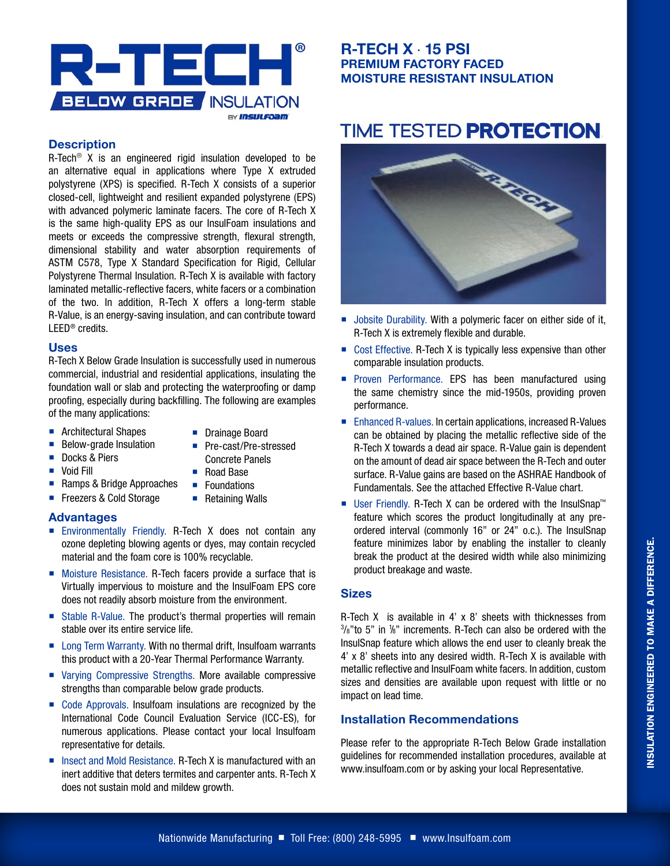

### **Description**

R-Tech® X is an engineered rigid insulation developed to be an alternative equal in applications where Type X extruded polystyrene (XPS) is specified. R-Tech X consists of a superior closed-cell, lightweight and resilient expanded polystyrene (EPS) with advanced polymeric laminate facers. The core of R-Tech X is the same high-quality EPS as our InsulFoam insulations and meets or exceeds the compressive strength, flexural strength, dimensional stability and water absorption requirements of ASTM C578, Type X Standard Specification for Rigid, Cellular Polystyrene Thermal Insulation. R-Tech X is available with factory laminated metallic-reflective facers, white facers or a combination of the two. In addition, R-Tech X offers a long-term stable R-Value, is an energy-saving insulation, and can contribute toward LEED® credits.

#### **Uses**

R-Tech X Below Grade Insulation is successfully used in numerous commercial, industrial and residential applications, insulating the foundation wall or slab and protecting the waterproofing or damp proofing, especially during backfilling. The following are examples of the many applications:

- **Architectural Shapes**
- **Drainage Board**

■ Pre-cast/Pre-stressed

- **Below-grade Insulation**
- Docks & Piers
- **Void Fill**
- Concrete Panels
- Road Base
- Ramps & Bridge Approaches **Foundations** ■ Retaining Walls
- Freezers & Cold Storage

### **Advantages**

- **Environmentally Friendly. R-Tech X does not contain any** ozone depleting blowing agents or dyes, may contain recycled material and the foam core is 100% recyclable.
- Moisture Resistance. R-Tech facers provide a surface that is Virtually impervious to moisture and the InsulFoam EPS core does not readily absorb moisture from the environment.
- Stable R-Value. The product's thermal properties will remain stable over its entire service life.
- Long Term Warranty. With no thermal drift, Insulfoam warrants this product with a 20-Year Thermal Performance Warranty.
- Varving Compressive Strengths. More available compressive strengths than comparable below grade products.
- Code Approvals. Insulfoam insulations are recognized by the International Code Council Evaluation Service (ICC-ES), for numerous applications. Please contact your local Insulfoam representative for details.
- $\blacksquare$  Insect and Mold Resistance. R-Tech X is manufactured with an inert additive that deters termites and carpenter ants. R-Tech X does not sustain mold and mildew growth.

## **R-TECH X** · **15 PSI PREMIUM FACTORY FACED MOISTURE RESISTANT INSULATION**

# **TIME TESTED PROTECTION.**



- Jobsite Durability. With a polymeric facer on either side of it, R-Tech X is extremely flexible and durable.
- Cost Effective. R-Tech X is typically less expensive than other comparable insulation products.
- **Proven Performance. EPS has been manufactured using** the same chemistry since the mid-1950s, providing proven performance.
- Enhanced R-values. In certain applications, increased R-Values can be obtained by placing the metallic reflective side of the R-Tech X towards a dead air space. R-Value gain is dependent on the amount of dead air space between the R-Tech and outer surface. R-Value gains are based on the ASHRAE Handbook of Fundamentals. See the attached Effective R-Value chart.
- User Friendly. R-Tech X can be ordered with the InsulSnap™ feature which scores the product longitudinally at any preordered interval (commonly 16" or 24" o.c.). The InsulSnap feature minimizes labor by enabling the installer to cleanly break the product at the desired width while also minimizing product breakage and waste.

#### **Sizes**

R-Tech X is available in 4' x 8' sheets with thicknesses from  $3/8$ " to 5" in  $1/8$ " increments. R-Tech can also be ordered with the InsulSnap feature which allows the end user to cleanly break the 4' x 8' sheets into any desired width. R-Tech X is available with metallic reflective and InsulFoam white facers. In addition, custom sizes and densities are available upon request with little or no impact on lead time.

### **Installation Recommendations**

Please refer to the appropriate R-Tech Below Grade installation guidelines for recommended installation procedures, available at www.insulfoam.com or by asking your local Representative.